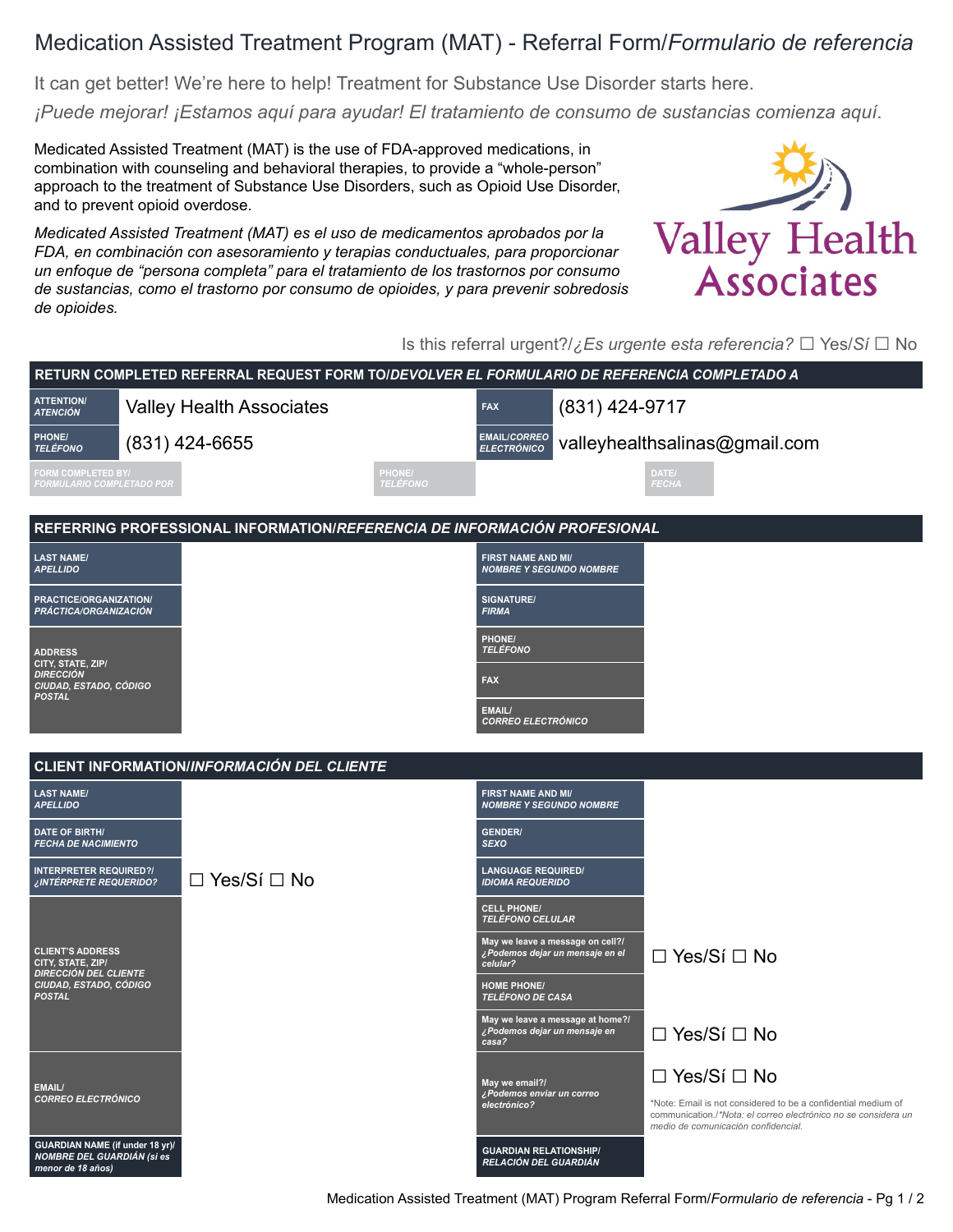## Medication Assisted Treatment Program (MAT) - Referral Form/*Formulario de referencia*

It can get better! We're here to help! Treatment for Substance Use Disorder starts here.

*¡Puede mejorar! ¡Estamos aquí para ayudar! El tratamiento de consumo de sustancias comienza aquí*.

Medicated Assisted Treatment (MAT) is the use of FDA-approved medications, in combination with counseling and behavioral therapies, to provide a "whole-person" approach to the treatment of Substance Use Disorders, such as Opioid Use Disorder, and to prevent opioid overdose.

*Medicated Assisted Treatment (MAT) es el uso de medicamentos aprobados por la FDA, en combinación con asesoramiento y terapias conductuales, para proporcionar un enfoque de "persona completa" para el tratamiento de los trastornos por consumo de sustancias, como el trastorno por consumo de opioides, y para prevenir sobredosis de opioides.*



Is this referral urgent?/*¿Es urgente esta referencia?* □ Yes/*Sí* □ No

| RETURN COMPLETED REFERRAL REQUEST FORM TOIDEVOLVER EL FORMULARIO DE REFERENCIA COMPLETADO A                             |                                 |                         |                                                             |                                                                     |                                                                |                                                                                                                                 |  |
|-------------------------------------------------------------------------------------------------------------------------|---------------------------------|-------------------------|-------------------------------------------------------------|---------------------------------------------------------------------|----------------------------------------------------------------|---------------------------------------------------------------------------------------------------------------------------------|--|
| <b>ATTENTION/</b><br><b>ATENCIÓN</b>                                                                                    | <b>Valley Health Associates</b> |                         | <b>FAX</b>                                                  | (831) 424-9717                                                      |                                                                |                                                                                                                                 |  |
| PHONE/<br><b>TELÉFONO</b>                                                                                               | (831) 424-6655                  |                         | <b>EMAIL/CORREO</b><br><b>ELECTRÓNICO</b>                   |                                                                     | valleyhealthsalinas@gmail.com                                  |                                                                                                                                 |  |
| FORM COMPLETED BY/<br>FORMULARIO COMPLETADO POR                                                                         |                                 | HONE/<br><b>ELÉFONO</b> |                                                             |                                                                     | DATE/<br>FECHA                                                 |                                                                                                                                 |  |
| REFERRING PROFESSIONAL INFORMATION/REFERENCIA DE INFORMACIÓN PROFESIONAL                                                |                                 |                         |                                                             |                                                                     |                                                                |                                                                                                                                 |  |
| <b>LAST NAME/</b><br><b>APELLIDO</b>                                                                                    |                                 |                         | <b>FIRST NAME AND MI/</b><br><b>NOMBRE Y SEGUNDO NOMBRE</b> |                                                                     |                                                                |                                                                                                                                 |  |
| PRACTICE/ORGANIZATION/<br>PRÁCTICA/ORGANIZACIÓN                                                                         |                                 |                         | <b>SIGNATURE/</b><br><b>FIRMA</b>                           |                                                                     |                                                                |                                                                                                                                 |  |
| <b>ADDRESS</b>                                                                                                          |                                 |                         | PHONE/<br><b>TELÉFONO</b>                                   |                                                                     |                                                                |                                                                                                                                 |  |
| CITY, STATE, ZIP/<br><b>DIRECCIÓN</b><br>CIUDAD, ESTADO, CÓDIGO<br><b>POSTAL</b>                                        |                                 |                         | <b>FAX</b>                                                  |                                                                     |                                                                |                                                                                                                                 |  |
|                                                                                                                         |                                 |                         | <b>EMAIL/</b><br><b>CORREO ELECTRÓNICO</b>                  |                                                                     |                                                                |                                                                                                                                 |  |
| <b>CLIENT INFORMATION/INFORMACIÓN DEL CLIENTE</b>                                                                       |                                 |                         |                                                             |                                                                     |                                                                |                                                                                                                                 |  |
| <b>LAST NAME/</b><br><b>APELLIDO</b>                                                                                    |                                 |                         | <b>FIRST NAME AND MI/</b><br><b>NOMBRE Y SEGUNDO NOMBRE</b> |                                                                     |                                                                |                                                                                                                                 |  |
| <b>DATE OF BIRTH/</b><br><b>FECHA DE NACIMIENTO</b>                                                                     |                                 |                         | <b>GENDER/</b><br><b>SEXO</b>                               |                                                                     |                                                                |                                                                                                                                 |  |
| <b>INTERPRETER REQUIRED?/</b><br>¿INTÉRPRETE REQUERIDO?                                                                 | $\Box$ Yes/Sí $\Box$ No         |                         | <b>LANGUAGE REQUIRED/</b><br><b>IDIOMA REQUERIDO</b>        |                                                                     |                                                                |                                                                                                                                 |  |
|                                                                                                                         |                                 |                         | <b>CELL PHONE/</b><br><b>TELÉFONO CELULAR</b>               |                                                                     |                                                                |                                                                                                                                 |  |
| <b>CLIENT'S ADDRESS</b><br>CITY, STATE, ZIP/<br><b>DIRECCIÓN DEL CLIENTE</b><br>CIUDAD, ESTADO, CÓDIGO<br><b>POSTAL</b> |                                 |                         | celular?                                                    | May we leave a message on cell?/<br>¿Podemos dejar un mensaje en el | □ Yes/Sí □ No                                                  |                                                                                                                                 |  |
|                                                                                                                         |                                 |                         | <b>HOME PHONE/</b><br>TELÉFONO DE CASA                      |                                                                     |                                                                |                                                                                                                                 |  |
|                                                                                                                         |                                 |                         | ¿Podemos dejar un mensaje en<br>casa?                       | May we leave a message at home?/                                    | $\Box$ Yes/Sí $\Box$ No                                        |                                                                                                                                 |  |
| EMAIL/<br><b>CORREO ELECTRÓNICO</b>                                                                                     |                                 |                         | May we email?/<br>¿Podemos enviar un correo<br>electrónico? |                                                                     | $\Box$ Yes/Sí $\Box$ No<br>medio de comunicación confidencial. | *Note: Email is not considered to be a confidential medium of<br>communication./*Nota: el correo electrónico no se considera un |  |
| GUARDIAN NAME (if under 18 yr)/<br><b>NOMBRE DEL GUARDIÁN (Si es</b><br>menor de 18 años)                               |                                 |                         | <b>GUARDIAN RELATIONSHIP/</b><br>RELACIÓN DEL GUARDIÁN      |                                                                     |                                                                |                                                                                                                                 |  |